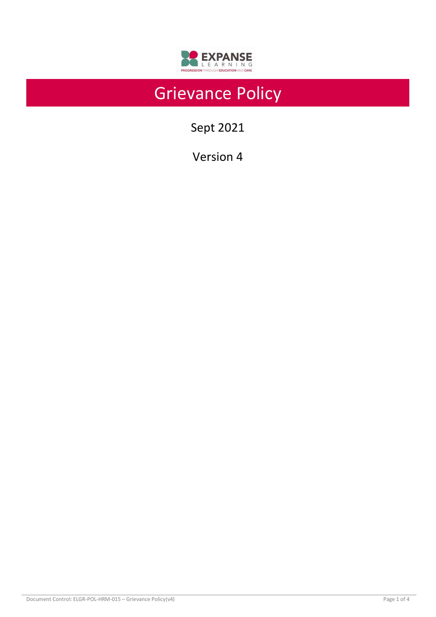

# Grievance Policy

Sept 2021

Version 4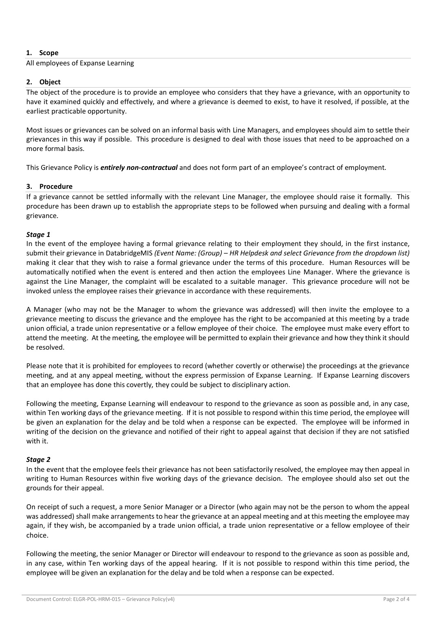# **1. Scope**

## All employees of Expanse Learning

## **2. Object**

The object of the procedure is to provide an employee who considers that they have a grievance, with an opportunity to have it examined quickly and effectively, and where a grievance is deemed to exist, to have it resolved, if possible, at the earliest practicable opportunity.

Most issues or grievances can be solved on an informal basis with Line Managers, and employees should aim to settle their grievances in this way if possible. This procedure is designed to deal with those issues that need to be approached on a more formal basis.

This Grievance Policy is *entirely non-contractual* and does not form part of an employee's contract of employment.

## **3. Procedure**

If a grievance cannot be settled informally with the relevant Line Manager, the employee should raise it formally. This procedure has been drawn up to establish the appropriate steps to be followed when pursuing and dealing with a formal grievance.

#### *Stage 1*

In the event of the employee having a formal grievance relating to their employment they should, in the first instance, submit their grievance in DatabridgeMIS *(Event Name: (Group) – HR Helpdesk and select Grievance from the dropdown list)* making it clear that they wish to raise a formal grievance under the terms of this procedure. Human Resources will be automatically notified when the event is entered and then action the employees Line Manager. Where the grievance is against the Line Manager, the complaint will be escalated to a suitable manager. This grievance procedure will not be invoked unless the employee raises their grievance in accordance with these requirements.

A Manager (who may not be the Manager to whom the grievance was addressed) will then invite the employee to a grievance meeting to discuss the grievance and the employee has the right to be accompanied at this meeting by a trade union official, a trade union representative or a fellow employee of their choice. The employee must make every effort to attend the meeting. At the meeting, the employee will be permitted to explain their grievance and how they think it should be resolved.

Please note that it is prohibited for employees to record (whether covertly or otherwise) the proceedings at the grievance meeting, and at any appeal meeting, without the express permission of Expanse Learning. If Expanse Learning discovers that an employee has done this covertly, they could be subject to disciplinary action.

Following the meeting, Expanse Learning will endeavour to respond to the grievance as soon as possible and, in any case, within Ten working days of the grievance meeting. If it is not possible to respond within this time period, the employee will be given an explanation for the delay and be told when a response can be expected. The employee will be informed in writing of the decision on the grievance and notified of their right to appeal against that decision if they are not satisfied with it.

#### *Stage 2*

In the event that the employee feels their grievance has not been satisfactorily resolved, the employee may then appeal in writing to Human Resources within five working days of the grievance decision. The employee should also set out the grounds for their appeal.

On receipt of such a request, a more Senior Manager or a Director (who again may not be the person to whom the appeal was addressed) shall make arrangements to hear the grievance at an appeal meeting and at this meeting the employee may again, if they wish, be accompanied by a trade union official, a trade union representative or a fellow employee of their choice.

Following the meeting, the senior Manager or Director will endeavour to respond to the grievance as soon as possible and, in any case, within Ten working days of the appeal hearing. If it is not possible to respond within this time period, the employee will be given an explanation for the delay and be told when a response can be expected.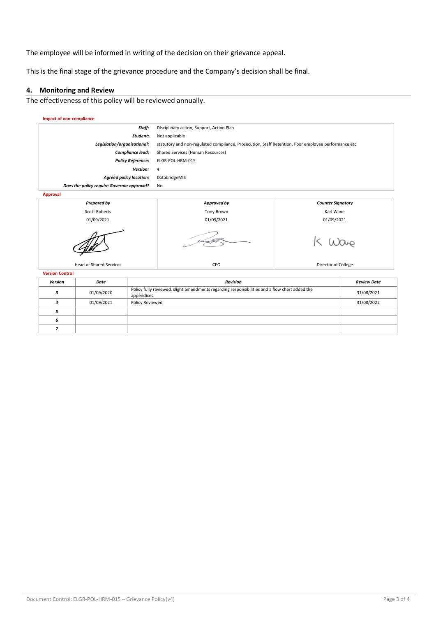The employee will be informed in writing of the decision on their grievance appeal.

This is the final stage of the grievance procedure and the Company's decision shall be final.

#### **4. Monitoring and Review**

The effectiveness of this policy will be reviewed annually.